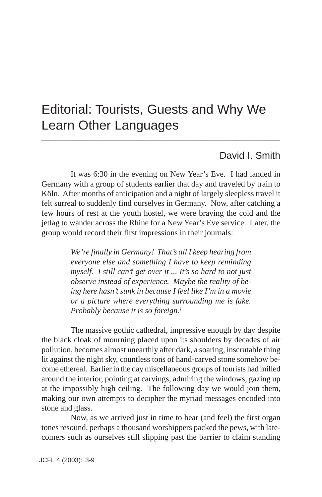### Editorial: Tourists, Guests and Why We Learn Other Languages **\_\_\_\_\_\_\_\_\_\_\_\_\_\_\_\_\_\_\_\_\_\_\_\_\_\_\_\_\_\_\_\_\_**

#### David I. Smith

It was 6:30 in the evening on New Year's Eve. I had landed in Germany with a group of students earlier that day and traveled by train to Köln. After months of anticipation and a night of largely sleepless travel it felt surreal to suddenly find ourselves in Germany. Now, after catching a few hours of rest at the youth hostel, we were braving the cold and the jetlag to wander across the Rhine for a New Year's Eve service. Later, the group would record their first impressions in their journals:

> *We're finally in Germany! That's all I keep hearing from everyone else and something I have to keep reminding myself. I still can't get over it ... It's so hard to not just observe instead of experience. Maybe the reality of being here hasn't sunk in because I feel like I'm in a movie or a picture where everything surrounding me is fake. Probably because it is so foreign.1*

The massive gothic cathedral, impressive enough by day despite the black cloak of mourning placed upon its shoulders by decades of air pollution, becomes almost unearthly after dark, a soaring, inscrutable thing lit against the night sky, countless tons of hand-carved stone somehow become ethereal. Earlier in the day miscellaneous groups of tourists had milled around the interior, pointing at carvings, admiring the windows, gazing up at the impossibly high ceiling. The following day we would join them, making our own attempts to decipher the myriad messages encoded into stone and glass.

Now, as we arrived just in time to hear (and feel) the first organ tones resound, perhaps a thousand worshippers packed the pews, with latecomers such as ourselves still slipping past the barrier to claim standing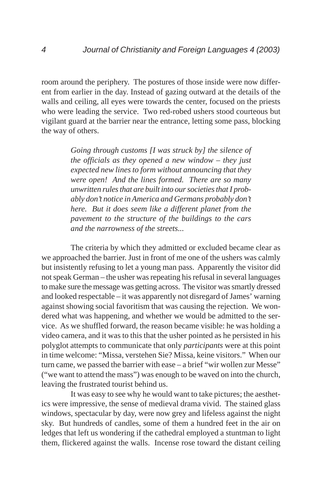room around the periphery. The postures of those inside were now different from earlier in the day. Instead of gazing outward at the details of the walls and ceiling, all eyes were towards the center, focused on the priests who were leading the service. Two red-robed ushers stood courteous but vigilant guard at the barrier near the entrance, letting some pass, blocking the way of others.

> *Going through customs [I was struck by] the silence of the officials as they opened a new window – they just expected new lines to form without announcing that they were open! And the lines formed. There are so many unwritten rules that are built into our societies that I probably don't notice in America and Germans probably don't here. But it does seem like a different planet from the pavement to the structure of the buildings to the cars and the narrowness of the streets...*

The criteria by which they admitted or excluded became clear as we approached the barrier. Just in front of me one of the ushers was calmly but insistently refusing to let a young man pass. Apparently the visitor did not speak German – the usher was repeating his refusal in several languages to make sure the message was getting across. The visitor was smartly dressed and looked respectable – it was apparently not disregard of James' warning against showing social favoritism that was causing the rejection. We wondered what was happening, and whether we would be admitted to the service. As we shuffled forward, the reason became visible: he was holding a video camera, and it was to this that the usher pointed as he persisted in his polyglot attempts to communicate that only *participants* were at this point in time welcome: "Missa, verstehen Sie? Missa, keine visitors." When our turn came, we passed the barrier with ease – a brief "wir wollen zur Messe" ("we want to attend the mass") was enough to be waved on into the church, leaving the frustrated tourist behind us.

It was easy to see why he would want to take pictures; the aesthetics were impressive, the sense of medieval drama vivid. The stained glass windows, spectacular by day, were now grey and lifeless against the night sky. But hundreds of candles, some of them a hundred feet in the air on ledges that left us wondering if the cathedral employed a stuntman to light them, flickered against the walls. Incense rose toward the distant ceiling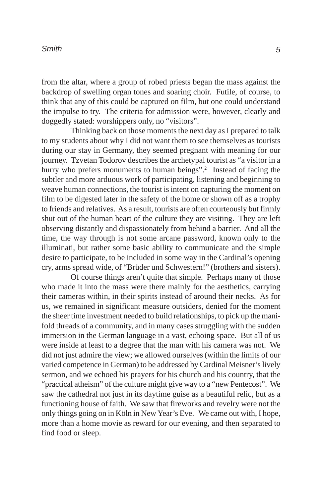from the altar, where a group of robed priests began the mass against the backdrop of swelling organ tones and soaring choir. Futile, of course, to think that any of this could be captured on film, but one could understand the impulse to try. The criteria for admission were, however, clearly and doggedly stated: worshippers only, no "visitors".

Thinking back on those moments the next day as I prepared to talk to my students about why I did not want them to see themselves as tourists during our stay in Germany, they seemed pregnant with meaning for our journey. Tzvetan Todorov describes the archetypal tourist as "a visitor in a hurry who prefers monuments to human beings".<sup>2</sup> Instead of facing the subtler and more arduous work of participating, listening and beginning to weave human connections, the tourist is intent on capturing the moment on film to be digested later in the safety of the home or shown off as a trophy to friends and relatives. As a result, tourists are often courteously but firmly shut out of the human heart of the culture they are visiting. They are left observing distantly and dispassionately from behind a barrier. And all the time, the way through is not some arcane password, known only to the illuminati, but rather some basic ability to communicate and the simple desire to participate, to be included in some way in the Cardinal's opening cry, arms spread wide, of "Brüder und Schwestern!" (brothers and sisters).

Of course things aren't quite that simple. Perhaps many of those who made it into the mass were there mainly for the aesthetics, carrying their cameras within, in their spirits instead of around their necks. As for us, we remained in significant measure outsiders, denied for the moment the sheer time investment needed to build relationships, to pick up the manifold threads of a community, and in many cases struggling with the sudden immersion in the German language in a vast, echoing space. But all of us were inside at least to a degree that the man with his camera was not. We did not just admire the view; we allowed ourselves (within the limits of our varied competence in German) to be addressed by Cardinal Meisner's lively sermon, and we echoed his prayers for his church and his country, that the "practical atheism" of the culture might give way to a "new Pentecost". We saw the cathedral not just in its daytime guise as a beautiful relic, but as a functioning house of faith. We saw that fireworks and revelry were not the only things going on in Köln in New Year's Eve. We came out with, I hope, more than a home movie as reward for our evening, and then separated to find food or sleep.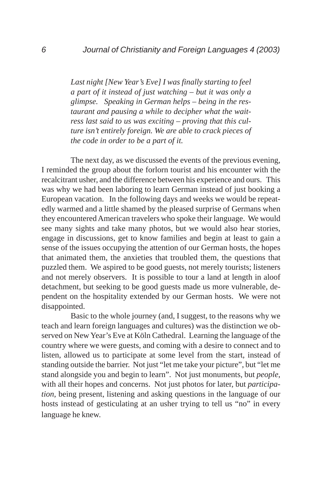*Last night [New Year's Eve] I was finally starting to feel a part of it instead of just watching – but it was only a glimpse. Speaking in German helps – being in the restaurant and pausing a while to decipher what the waitress last said to us was exciting – proving that this culture isn't entirely foreign. We are able to crack pieces of the code in order to be a part of it.*

The next day, as we discussed the events of the previous evening, I reminded the group about the forlorn tourist and his encounter with the recalcitrant usher, and the difference between his experience and ours. This was why we had been laboring to learn German instead of just booking a European vacation. In the following days and weeks we would be repeatedly warmed and a little shamed by the pleased surprise of Germans when they encountered American travelers who spoke their language. We would see many sights and take many photos, but we would also hear stories, engage in discussions, get to know families and begin at least to gain a sense of the issues occupying the attention of our German hosts, the hopes that animated them, the anxieties that troubled them, the questions that puzzled them. We aspired to be good guests, not merely tourists; listeners and not merely observers. It is possible to tour a land at length in aloof detachment, but seeking to be good guests made us more vulnerable, dependent on the hospitality extended by our German hosts. We were not disappointed.

Basic to the whole journey (and, I suggest, to the reasons why we teach and learn foreign languages and cultures) was the distinction we observed on New Year's Eve at Köln Cathedral. Learning the language of the country where we were guests, and coming with a desire to connect and to listen, allowed us to participate at some level from the start, instead of standing outside the barrier. Not just "let me take your picture", but "let me stand alongside you and begin to learn". Not just monuments, but *people*, with all their hopes and concerns. Not just photos for later, but *participation*, being present, listening and asking questions in the language of our hosts instead of gesticulating at an usher trying to tell us "no" in every language he knew.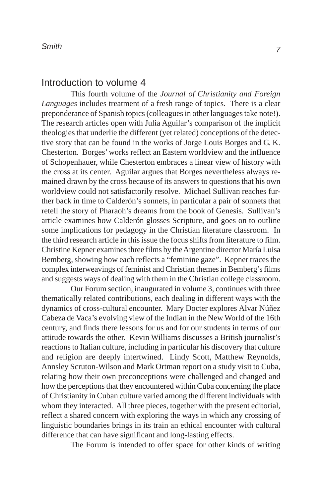#### Introduction to volume 4

This fourth volume of the *Journal of Christianity and Foreign Languages* includes treatment of a fresh range of topics. There is a clear preponderance of Spanish topics (colleagues in other languages take note!). The research articles open with Julia Aguilar's comparison of the implicit theologies that underlie the different (yet related) conceptions of the detective story that can be found in the works of Jorge Louis Borges and G. K. Chesterton. Borges' works reflect an Eastern worldview and the influence of Schopenhauer, while Chesterton embraces a linear view of history with the cross at its center. Aguilar argues that Borges nevertheless always remained drawn by the cross because of its answers to questions that his own worldview could not satisfactorily resolve. Michael Sullivan reaches further back in time to Calderón's sonnets, in particular a pair of sonnets that retell the story of Pharaoh's dreams from the book of Genesis. Sullivan's article examines how Calderón glosses Scripture, and goes on to outline some implications for pedagogy in the Christian literature classroom. In the third research article in this issue the focus shifts from literature to film. Christine Kepner examines three films by the Argentine director María Luisa Bemberg, showing how each reflects a "feminine gaze". Kepner traces the complex interweavings of feminist and Christian themes in Bemberg's films and suggests ways of dealing with them in the Christian college classroom.

Our Forum section, inaugurated in volume 3, continues with three thematically related contributions, each dealing in different ways with the dynamics of cross-cultural encounter. Mary Docter explores Alvar Núñez Cabeza de Vaca's evolving view of the Indian in the New World of the 16th century, and finds there lessons for us and for our students in terms of our attitude towards the other. Kevin Williams discusses a British journalist's reactions to Italian culture, including in particular his discovery that culture and religion are deeply intertwined. Lindy Scott, Matthew Reynolds, Annsley Scruton-Wilson and Mark Ortman report on a study visit to Cuba, relating how their own preconceptions were challenged and changed and how the perceptions that they encountered within Cuba concerning the place of Christianity in Cuban culture varied among the different individuals with whom they interacted. All three pieces, together with the present editorial, reflect a shared concern with exploring the ways in which any crossing of linguistic boundaries brings in its train an ethical encounter with cultural difference that can have significant and long-lasting effects.

The Forum is intended to offer space for other kinds of writing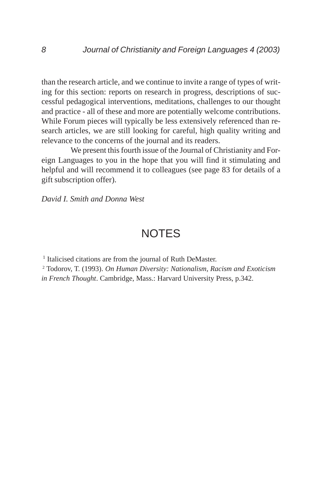than the research article, and we continue to invite a range of types of writing for this section: reports on research in progress, descriptions of successful pedagogical interventions, meditations, challenges to our thought and practice - all of these and more are potentially welcome contributions. While Forum pieces will typically be less extensively referenced than research articles, we are still looking for careful, high quality writing and relevance to the concerns of the journal and its readers.

We present this fourth issue of the Journal of Christianity and Foreign Languages to you in the hope that you will find it stimulating and helpful and will recommend it to colleagues (see page 83 for details of a gift subscription offer).

*David I. Smith and Donna West*

#### **NOTES**

<sup>1</sup> Italicised citations are from the journal of Ruth DeMaster.

2 Todorov, T. (1993). *On Human Diversity: Nationalism, Racism and Exoticism in French Thought*. Cambridge, Mass.: Harvard University Press, p.342.